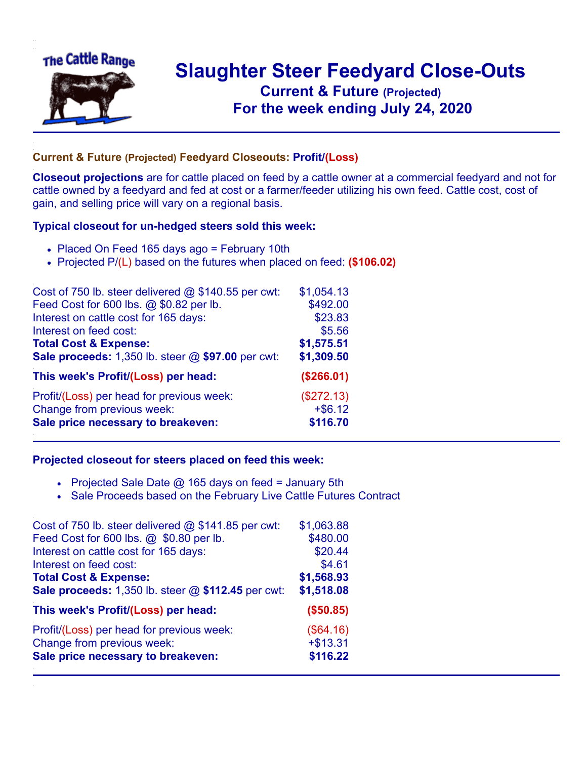

## **Slaughter Steer Feedyard Close-Outs Current & Future (Projected)** .**For the week ending July 24, 2020**

## **Current & Future (Projected) Feedyard Closeouts: Profit/(Loss)**

**Closeout projections** are for cattle placed on feed by a cattle owner at a commercial feedyard and not for cattle owned by a feedyard and fed at cost or a farmer/feeder utilizing his own feed. Cattle cost, cost of gain, and selling price will vary on a regional basis.

## **Typical closeout for un-hedged steers sold this week:**

- Placed On Feed 165 days ago = February 10th
- Projected P/(L) based on the futures when placed on feed: **(\$106.02)**

| Cost of 750 lb. steer delivered $@$ \$140.55 per cwt: | \$1,054.13 |
|-------------------------------------------------------|------------|
| Feed Cost for 600 lbs. @ \$0.82 per lb.               | \$492.00   |
| Interest on cattle cost for 165 days:                 | \$23.83    |
| Interest on feed cost:                                | \$5.56     |
| <b>Total Cost &amp; Expense:</b>                      | \$1,575.51 |
| Sale proceeds: 1,350 lb. steer @ \$97.00 per cwt:     | \$1,309.50 |
| This week's Profit/(Loss) per head:                   | (\$266.01) |
| Profit/(Loss) per head for previous week:             | (\$272.13) |
| Change from previous week:                            | $+ $6.12$  |
| Sale price necessary to breakeven:                    | \$116.70   |

## **Projected closeout for steers placed on feed this week:**

- Projected Sale Date  $@$  165 days on feed = January 5th
- Sale Proceeds based on the February Live Cattle Futures Contract

| Cost of 750 lb. steer delivered @ \$141.85 per cwt: | \$1,063.88 |
|-----------------------------------------------------|------------|
| Feed Cost for 600 lbs. @ \$0.80 per lb.             | \$480.00   |
| Interest on cattle cost for 165 days:               | \$20.44    |
| Interest on feed cost:                              | \$4.61     |
| <b>Total Cost &amp; Expense:</b>                    | \$1,568.93 |
| Sale proceeds: 1,350 lb. steer @ \$112.45 per cwt:  | \$1,518.08 |
| This week's Profit/(Loss) per head:                 | (\$50.85)  |
| Profit/(Loss) per head for previous week:           | (\$64.16)  |
| Change from previous week:                          | $+ $13.31$ |
| Sale price necessary to breakeven:                  | \$116.22   |